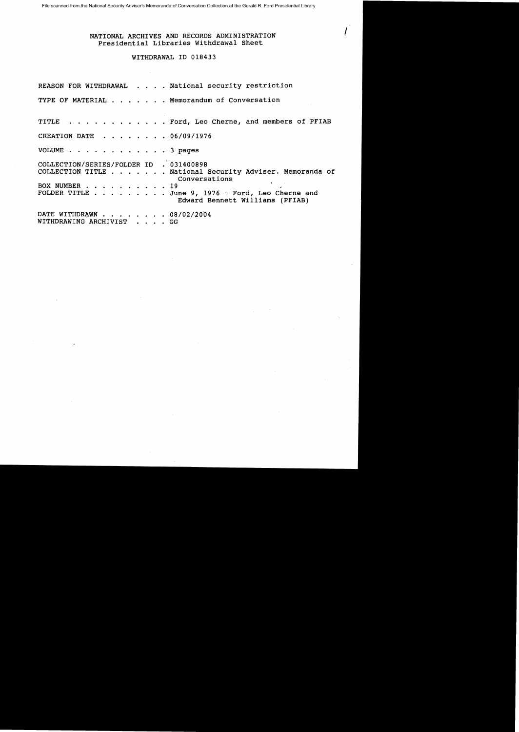## NATIONAL ARCHIVES AND RECORDS ADMINISTRATION Presidential Libraries Withdrawal Sheet

## WITHDRAWAL ID 018433

|                                                          | REASON FOR WITHDRAWAL National security restriction                                                                                                              |
|----------------------------------------------------------|------------------------------------------------------------------------------------------------------------------------------------------------------------------|
|                                                          | TYPE OF MATERIAL Memorandum of Conversation                                                                                                                      |
|                                                          | TITLE Ford, Leo Cherne, and members of PFIAB                                                                                                                     |
| CREATION DATE 06/09/1976                                 |                                                                                                                                                                  |
| VOLUME 3 pages                                           |                                                                                                                                                                  |
| COLLECTION/SERIES/FOLDER ID . 031400898<br>BOX NUMBER 19 | COLLECTION TITLE National Security Adviser. Memoranda of<br>Conversations<br>FOLDER TITLE June 9, 1976 - Ford, Leo Cherne and<br>Edward Bennett Williams (PFIAB) |
| DATE WITHDRAWN 08/02/2004<br>WITHDRAWING ARCHIVIST GG    |                                                                                                                                                                  |